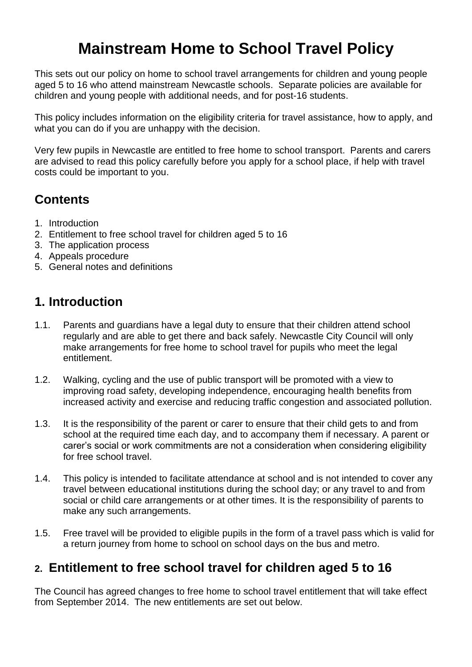# **Mainstream Home to School Travel Policy**

This sets out our policy on home to school travel arrangements for children and young people aged 5 to 16 who attend mainstream Newcastle schools. Separate policies are available for children and young people with additional needs, and for post-16 students.

This policy includes information on the eligibility criteria for travel assistance, how to apply, and what you can do if you are unhappy with the decision.

Very few pupils in Newcastle are entitled to free home to school transport. Parents and carers are advised to read this policy carefully before you apply for a school place, if help with travel costs could be important to you.

## **Contents**

- 1. Introduction
- 2. Entitlement to free school travel for children aged 5 to 16
- 3. The application process
- 4. Appeals procedure
- 5. General notes and definitions

### **1. Introduction**

- 1.1. Parents and guardians have a legal duty to ensure that their children attend school regularly and are able to get there and back safely. Newcastle City Council will only make arrangements for free home to school travel for pupils who meet the legal entitlement.
- 1.2. Walking, cycling and the use of public transport will be promoted with a view to improving road safety, developing independence, encouraging health benefits from increased activity and exercise and reducing traffic congestion and associated pollution.
- 1.3. It is the responsibility of the parent or carer to ensure that their child gets to and from school at the required time each day, and to accompany them if necessary. A parent or carer's social or work commitments are not a consideration when considering eligibility for free school travel
- 1.4. This policy is intended to facilitate attendance at school and is not intended to cover any travel between educational institutions during the school day; or any travel to and from social or child care arrangements or at other times. It is the responsibility of parents to make any such arrangements.
- 1.5. Free travel will be provided to eligible pupils in the form of a travel pass which is valid for a return journey from home to school on school days on the bus and metro.

### **2. Entitlement to free school travel for children aged 5 to 16**

The Council has agreed changes to free home to school travel entitlement that will take effect from September 2014. The new entitlements are set out below.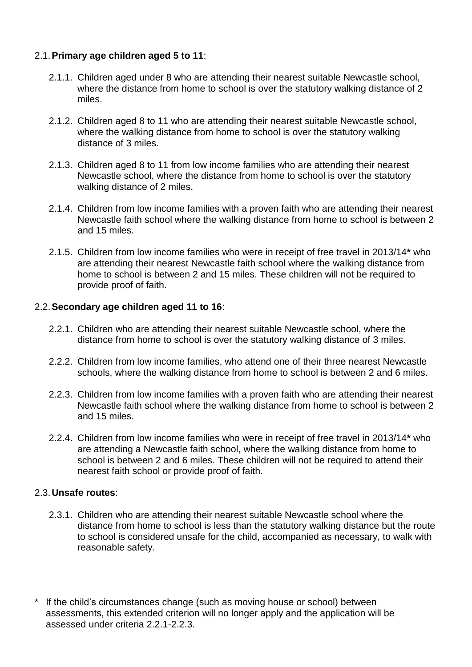### 2.1.**Primary age children aged 5 to 11**:

- 2.1.1. Children aged under 8 who are attending their nearest suitable Newcastle school, where the distance from home to school is over the statutory walking distance of 2 miles.
- 2.1.2. Children aged 8 to 11 who are attending their nearest suitable Newcastle school, where the walking distance from home to school is over the statutory walking distance of 3 miles.
- 2.1.3. Children aged 8 to 11 from low income families who are attending their nearest Newcastle school, where the distance from home to school is over the statutory walking distance of 2 miles.
- 2.1.4. Children from low income families with a proven faith who are attending their nearest Newcastle faith school where the walking distance from home to school is between 2 and 15 miles.
- 2.1.5. Children from low income families who were in receipt of free travel in 2013/14**\*** who are attending their nearest Newcastle faith school where the walking distance from home to school is between 2 and 15 miles. These children will not be required to provide proof of faith.

#### 2.2.**Secondary age children aged 11 to 16**:

- 2.2.1. Children who are attending their nearest suitable Newcastle school, where the distance from home to school is over the statutory walking distance of 3 miles.
- 2.2.2. Children from low income families, who attend one of their three nearest Newcastle schools, where the walking distance from home to school is between 2 and 6 miles.
- 2.2.3. Children from low income families with a proven faith who are attending their nearest Newcastle faith school where the walking distance from home to school is between 2 and 15 miles.
- 2.2.4. Children from low income families who were in receipt of free travel in 2013/14**\*** who are attending a Newcastle faith school, where the walking distance from home to school is between 2 and 6 miles. These children will not be required to attend their nearest faith school or provide proof of faith.

#### 2.3.**Unsafe routes**:

- 2.3.1. Children who are attending their nearest suitable Newcastle school where the distance from home to school is less than the statutory walking distance but the route to school is considered unsafe for the child, accompanied as necessary, to walk with reasonable safety.
- If the child's circumstances change (such as moving house or school) between assessments, this extended criterion will no longer apply and the application will be assessed under criteria 2.2.1-2.2.3.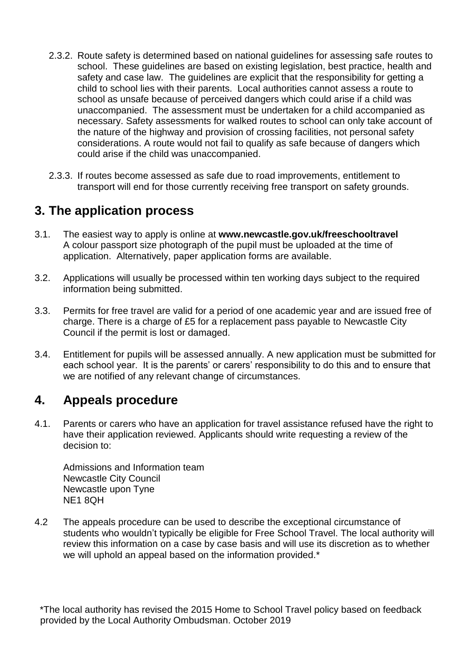- 2.3.2. Route safety is determined based on national guidelines for assessing safe routes to school. These guidelines are based on existing legislation, best practice, health and safety and case law. The guidelines are explicit that the responsibility for getting a child to school lies with their parents. Local authorities cannot assess a route to school as unsafe because of perceived dangers which could arise if a child was unaccompanied. The assessment must be undertaken for a child accompanied as necessary. Safety assessments for walked routes to school can only take account of the nature of the highway and provision of crossing facilities, not personal safety considerations. A route would not fail to qualify as safe because of dangers which could arise if the child was unaccompanied.
- 2.3.3. If routes become assessed as safe due to road improvements, entitlement to transport will end for those currently receiving free transport on safety grounds.

### **3. The application process**

- 3.1. The easiest way to apply is online at **www.newcastle.gov.uk/freeschooltravel** A colour passport size photograph of the pupil must be uploaded at the time of application. Alternatively, paper application forms are available.
- 3.2. Applications will usually be processed within ten working days subject to the required information being submitted.
- 3.3. Permits for free travel are valid for a period of one academic year and are issued free of charge. There is a charge of £5 for a replacement pass payable to Newcastle City Council if the permit is lost or damaged.
- 3.4. Entitlement for pupils will be assessed annually. A new application must be submitted for each school year. It is the parents' or carers' responsibility to do this and to ensure that we are notified of any relevant change of circumstances.

### **4. Appeals procedure**

4.1. Parents or carers who have an application for travel assistance refused have the right to have their application reviewed. Applicants should write requesting a review of the decision to:

Admissions and Information team Newcastle City Council Newcastle upon Tyne NE1 8QH

4.2 The appeals procedure can be used to describe the exceptional circumstance of students who wouldn't typically be eligible for Free School Travel. The local authority will review this information on a case by case basis and will use its discretion as to whether we will uphold an appeal based on the information provided.\*

\*The local authority has revised the 2015 Home to School Travel policy based on feedback provided by the Local Authority Ombudsman. October 2019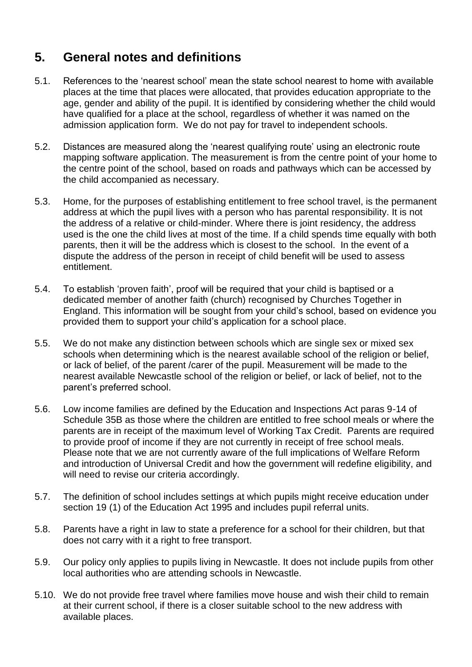### **5. General notes and definitions**

- 5.1. References to the 'nearest school' mean the state school nearest to home with available places at the time that places were allocated, that provides education appropriate to the age, gender and ability of the pupil. It is identified by considering whether the child would have qualified for a place at the school, regardless of whether it was named on the admission application form. We do not pay for travel to independent schools.
- 5.2. Distances are measured along the 'nearest qualifying route' using an electronic route mapping software application. The measurement is from the centre point of your home to the centre point of the school, based on roads and pathways which can be accessed by the child accompanied as necessary.
- 5.3. Home, for the purposes of establishing entitlement to free school travel, is the permanent address at which the pupil lives with a person who has parental responsibility. It is not the address of a relative or child-minder. Where there is joint residency, the address used is the one the child lives at most of the time. If a child spends time equally with both parents, then it will be the address which is closest to the school. In the event of a dispute the address of the person in receipt of child benefit will be used to assess entitlement.
- 5.4. To establish 'proven faith', proof will be required that your child is baptised or a dedicated member of another faith (church) recognised by Churches Together in England. This information will be sought from your child's school, based on evidence you provided them to support your child's application for a school place.
- 5.5. We do not make any distinction between schools which are single sex or mixed sex schools when determining which is the nearest available school of the religion or belief, or lack of belief, of the parent /carer of the pupil. Measurement will be made to the nearest available Newcastle school of the religion or belief, or lack of belief, not to the parent's preferred school.
- 5.6. Low income families are defined by the Education and Inspections Act paras 9-14 of Schedule 35B as those where the children are entitled to free school meals or where the parents are in receipt of the maximum level of Working Tax Credit. Parents are required to provide proof of income if they are not currently in receipt of free school meals. Please note that we are not currently aware of the full implications of Welfare Reform and introduction of Universal Credit and how the government will redefine eligibility, and will need to revise our criteria accordingly.
- 5.7. The definition of school includes settings at which pupils might receive education under section 19 (1) of the Education Act 1995 and includes pupil referral units.
- 5.8. Parents have a right in law to state a preference for a school for their children, but that does not carry with it a right to free transport.
- 5.9. Our policy only applies to pupils living in Newcastle. It does not include pupils from other local authorities who are attending schools in Newcastle.
- 5.10. We do not provide free travel where families move house and wish their child to remain at their current school, if there is a closer suitable school to the new address with available places.